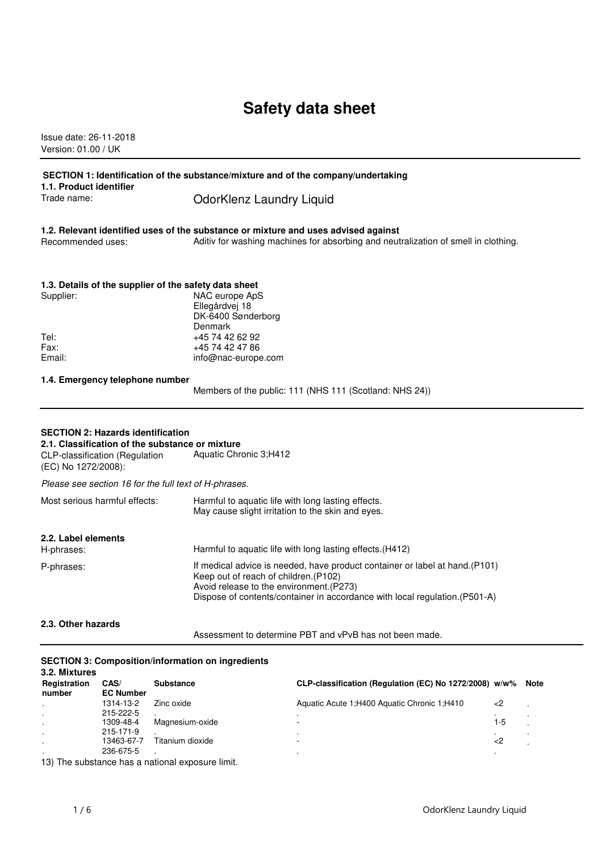# **Safety data sheet**

Issue date: 26-11-2018 Version: 01.00 / UK

### **SECTION 1: Identification of the substance/mixture and of the company/undertaking**

**1.1. Product identifier**

Trade name: ColorKlenz Laundry Liquid

**1.2. Relevant identified uses of the substance or mixture and uses advised against** Recommended uses: Aditiv for washing machines for absorbing and neutralization of smell in clothing.

# **1.3. Details of the supplier of the safety data sheet**<br>Supplier: MAC surape Aps

| NAC europe ApS      |
|---------------------|
| Ellegårdvej 18      |
| DK-6400 Sønderborg  |
| Denmark             |
| +45 74 42 62 92     |
| +45 74 42 47 86     |
| info@nac-europe.com |
|                     |

### **1.4. Emergency telephone number**

Members of the public: 111 (NHS 111 (Scotland: NHS 24))

### **SECTION 2: Hazards identification**

**2.1. Classification of the substance or mixture**

CLP-classification (Regulation (EC) No 1272/2008): Aquatic Chronic 3;H412 Please see section 16 for the full text of H-phrases.

| Most serious harmful effects:     | Harmful to aquatic life with long lasting effects.<br>May cause slight irritation to the skin and eyes.                                                                                                                                          |
|-----------------------------------|--------------------------------------------------------------------------------------------------------------------------------------------------------------------------------------------------------------------------------------------------|
| 2.2. Label elements<br>H-phrases: | Harmful to aquatic life with long lasting effects. (H412)                                                                                                                                                                                        |
| P-phrases:                        | If medical advice is needed, have product container or label at hand. (P101)<br>Keep out of reach of children. (P102)<br>Avoid release to the environment. (P273)<br>Dispose of contents/container in accordance with local regulation. (P501-A) |
| 2.3. Other hazards                |                                                                                                                                                                                                                                                  |

Assessment to determine PBT and vPvB has not been made.

#### **SECTION 3: Composition/information on ingredients 3.2. Mixtures**

| <b>J.Z. MIXLUIUS</b><br>Registration<br>number | CAS/<br><b>EC Number</b> | <b>Substance</b> | CLP-classification (Regulation (EC) No 1272/2008) w/w% |     | Note |
|------------------------------------------------|--------------------------|------------------|--------------------------------------------------------|-----|------|
|                                                | 1314-13-2                | Zinc oxide       | Aquatic Acute 1:H400 Aquatic Chronic 1:H410            | -2  |      |
|                                                | 215-222-5                |                  |                                                        | . . |      |
|                                                | 1309-48-4                | Magnesium-oxide  |                                                        | 1-5 |      |
|                                                | 215-171-9                |                  |                                                        |     |      |
|                                                | 13463-67-7               | Titanium dioxide |                                                        | -2  |      |
|                                                | 236-675-5                |                  |                                                        |     |      |

13) The substance has a national exposure limit.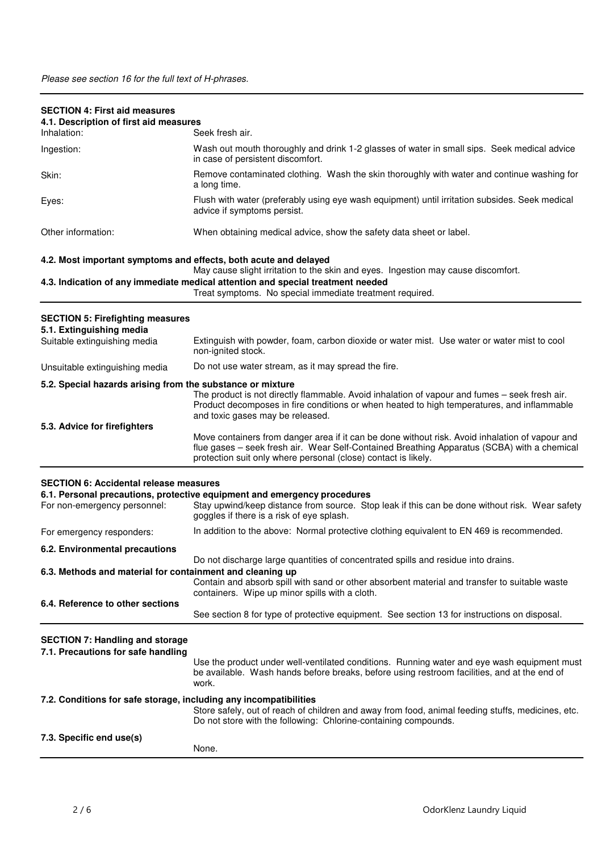| <b>SECTION 4: First aid measures</b><br>4.1. Description of first aid measures |                                                                                                                                                                                                                                                                  |
|--------------------------------------------------------------------------------|------------------------------------------------------------------------------------------------------------------------------------------------------------------------------------------------------------------------------------------------------------------|
| Inhalation:                                                                    | Seek fresh air.                                                                                                                                                                                                                                                  |
| Ingestion:                                                                     | Wash out mouth thoroughly and drink 1-2 glasses of water in small sips. Seek medical advice<br>in case of persistent discomfort.                                                                                                                                 |
| Skin:                                                                          | Remove contaminated clothing. Wash the skin thoroughly with water and continue washing for<br>a long time.                                                                                                                                                       |
| Eyes:                                                                          | Flush with water (preferably using eye wash equipment) until irritation subsides. Seek medical<br>advice if symptoms persist.                                                                                                                                    |
| Other information:                                                             | When obtaining medical advice, show the safety data sheet or label.                                                                                                                                                                                              |
| 4.2. Most important symptoms and effects, both acute and delayed               | May cause slight irritation to the skin and eyes. Ingestion may cause discomfort.                                                                                                                                                                                |
|                                                                                | 4.3. Indication of any immediate medical attention and special treatment needed<br>Treat symptoms. No special immediate treatment required.                                                                                                                      |
| <b>SECTION 5: Firefighting measures</b>                                        |                                                                                                                                                                                                                                                                  |
| 5.1. Extinguishing media<br>Suitable extinguishing media                       | Extinguish with powder, foam, carbon dioxide or water mist. Use water or water mist to cool<br>non-ignited stock.                                                                                                                                                |
| Unsuitable extinguishing media                                                 | Do not use water stream, as it may spread the fire.                                                                                                                                                                                                              |
| 5.2. Special hazards arising from the substance or mixture                     |                                                                                                                                                                                                                                                                  |
|                                                                                | The product is not directly flammable. Avoid inhalation of vapour and fumes - seek fresh air.<br>Product decomposes in fire conditions or when heated to high temperatures, and inflammable<br>and toxic gases may be released.                                  |
| 5.3. Advice for firefighters                                                   |                                                                                                                                                                                                                                                                  |
|                                                                                | Move containers from danger area if it can be done without risk. Avoid inhalation of vapour and<br>flue gases - seek fresh air. Wear Self-Contained Breathing Apparatus (SCBA) with a chemical<br>protection suit only where personal (close) contact is likely. |
| <b>SECTION 6: Accidental release measures</b>                                  |                                                                                                                                                                                                                                                                  |
|                                                                                | 6.1. Personal precautions, protective equipment and emergency procedures                                                                                                                                                                                         |
| For non-emergency personnel:                                                   | Stay upwind/keep distance from source. Stop leak if this can be done without risk. Wear safety<br>goggles if there is a risk of eye splash.                                                                                                                      |
| For emergency responders:                                                      | In addition to the above: Normal protective clothing equivalent to EN 469 is recommended.                                                                                                                                                                        |
| 6.2. Environmental precautions                                                 |                                                                                                                                                                                                                                                                  |
| 6.3. Methods and material for containment and cleaning up                      | Do not discharge large quantities of concentrated spills and residue into drains.                                                                                                                                                                                |
|                                                                                | Contain and absorb spill with sand or other absorbent material and transfer to suitable waste<br>containers. Wipe up minor spills with a cloth.                                                                                                                  |
| 6.4. Reference to other sections                                               | See section 8 for type of protective equipment. See section 13 for instructions on disposal.                                                                                                                                                                     |
| <b>SECTION 7: Handling and storage</b>                                         |                                                                                                                                                                                                                                                                  |
| 7.1. Precautions for safe handling                                             |                                                                                                                                                                                                                                                                  |
|                                                                                | Use the product under well-ventilated conditions. Running water and eye wash equipment must<br>be available. Wash hands before breaks, before using restroom facilities, and at the end of<br>work.                                                              |
| 7.2. Conditions for safe storage, including any incompatibilities              | Store safely, out of reach of children and away from food, animal feeding stuffs, medicines, etc.<br>Do not store with the following: Chlorine-containing compounds.                                                                                             |
| 7.3. Specific end use(s)                                                       | None.                                                                                                                                                                                                                                                            |
|                                                                                |                                                                                                                                                                                                                                                                  |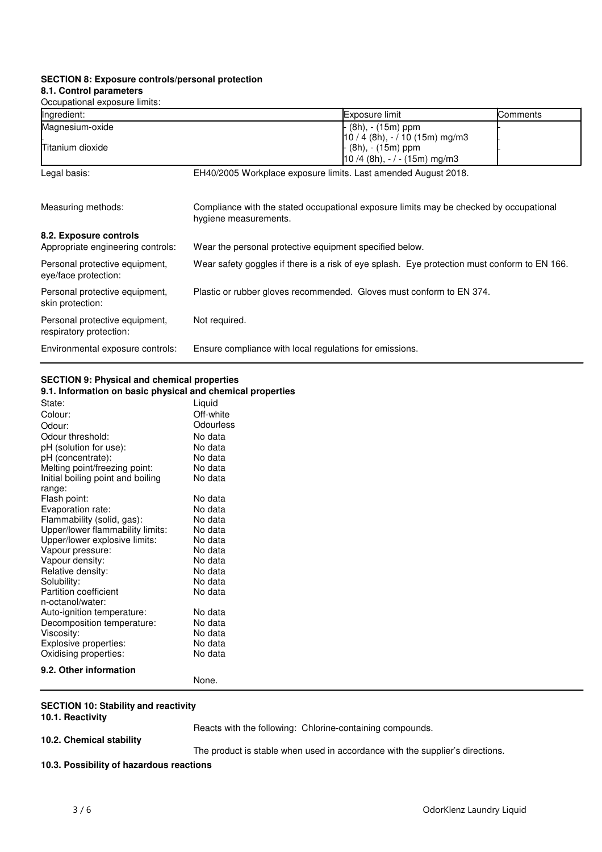### **SECTION 8: Exposure controls/personal protection 8.1. Control parameters**

Occupational exposure limits:

| Occupational cxposure illinis.    |                                                                      |                                                                                              |          |
|-----------------------------------|----------------------------------------------------------------------|----------------------------------------------------------------------------------------------|----------|
| Ingredient:                       |                                                                      | Exposure limit                                                                               | Comments |
| Magnesium-oxide                   |                                                                      | (8h), - (15m) ppm                                                                            |          |
|                                   |                                                                      | $10/4$ (8h), $-/10$ (15m) mg/m3                                                              |          |
| <b>ITitanium dioxide</b>          |                                                                      | (8h), - (15m) ppm                                                                            |          |
|                                   |                                                                      | $10/4$ (8h), $-/-$ (15m) mg/m3                                                               |          |
| Legal basis:                      | EH40/2005 Workplace exposure limits. Last amended August 2018.       |                                                                                              |          |
|                                   |                                                                      |                                                                                              |          |
| Measuring methods:                | hygiene measurements.                                                | Compliance with the stated occupational exposure limits may be checked by occupational       |          |
| 8.2. Exposure controls            |                                                                      |                                                                                              |          |
| Appropriate engineering controls: | Wear the personal protective equipment specified below.              |                                                                                              |          |
| Personal protective equipment,    |                                                                      | Wear safety goggles if there is a risk of eye splash. Eye protection must conform to EN 166. |          |
| eye/face protection:              |                                                                      |                                                                                              |          |
| Personal protective equipment,    | Plastic or rubber gloves recommended. Gloves must conform to EN 374. |                                                                                              |          |
| skin protection:                  |                                                                      |                                                                                              |          |
| Personal protective equipment,    | Not required.                                                        |                                                                                              |          |
| respiratory protection:           |                                                                      |                                                                                              |          |
| Environmental exposure controls:  | Ensure compliance with local regulations for emissions.              |                                                                                              |          |

### **SECTION 9: Physical and chemical properties 9.1. Information on basic physical and chemical properties**

| State:                            | Liquid    |
|-----------------------------------|-----------|
| Colour:                           | Off-white |
| Odour:                            | Odourless |
| Odour threshold:                  | No data   |
| pH (solution for use):            | No data   |
| pH (concentrate):                 | No data   |
| Melting point/freezing point:     | No data   |
| Initial boiling point and boiling | No data   |
| range:                            |           |
| Flash point:                      | No data   |
| Evaporation rate:                 | No data   |
| Flammability (solid, gas):        | No data   |
| Upper/lower flammability limits:  | No data   |
| Upper/lower explosive limits:     | No data   |
| Vapour pressure:                  | No data   |
| Vapour density:                   | No data   |
| Relative density:                 | No data   |
| Solubility:                       | No data   |
| <b>Partition coefficient</b>      | No data   |
| n-octanol/water:                  |           |
| Auto-ignition temperature:        | No data   |
| Decomposition temperature:        | No data   |
| Viscosity:                        | No data   |
| Explosive properties:             | No data   |
| Oxidising properties:             | No data   |
| 9.2. Other information            |           |

None.

### **SECTION 10: Stability and reactivity**

**10.1. Reactivity**

Reacts with the following: Chlorine-containing compounds.

### **10.2. Chemical stability**

The product is stable when used in accordance with the supplier's directions.

### **10.3. Possibility of hazardous reactions**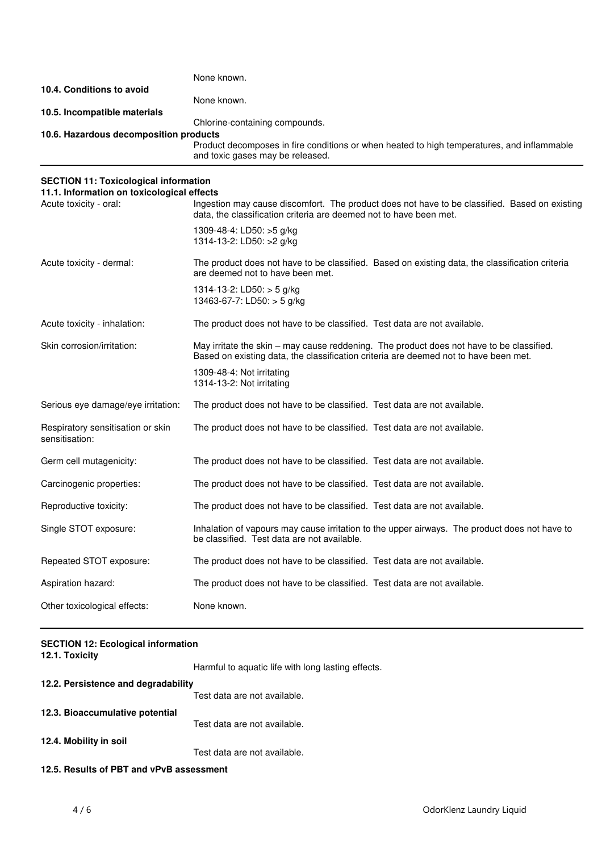|                                        | None known.                                                                                                                    |
|----------------------------------------|--------------------------------------------------------------------------------------------------------------------------------|
| 10.4. Conditions to avoid              |                                                                                                                                |
|                                        | None known.                                                                                                                    |
| 10.5. Incompatible materials           |                                                                                                                                |
|                                        | Chlorine-containing compounds.                                                                                                 |
| 10.6. Hazardous decomposition products |                                                                                                                                |
|                                        | Product decomposes in fire conditions or when heated to high temperatures, and inflammable<br>and toxic gases may be released. |

## **SECTION 11: Toxicological information**

| 11.1. Information on toxicological effects          |                                                                                                                                                                                  |
|-----------------------------------------------------|----------------------------------------------------------------------------------------------------------------------------------------------------------------------------------|
| Acute toxicity - oral:                              | Ingestion may cause discomfort. The product does not have to be classified. Based on existing<br>data, the classification criteria are deemed not to have been met.              |
|                                                     | 1309-48-4: LD50: >5 g/kg<br>1314-13-2: LD50: >2 g/kg                                                                                                                             |
| Acute toxicity - dermal:                            | The product does not have to be classified. Based on existing data, the classification criteria<br>are deemed not to have been met.                                              |
|                                                     | 1314-13-2: LD50: $>$ 5 g/kg<br>13463-67-7: LD50: $>$ 5 g/kg                                                                                                                      |
| Acute toxicity - inhalation:                        | The product does not have to be classified. Test data are not available.                                                                                                         |
| Skin corrosion/irritation:                          | May irritate the skin – may cause reddening. The product does not have to be classified.<br>Based on existing data, the classification criteria are deemed not to have been met. |
|                                                     | 1309-48-4: Not irritating<br>1314-13-2: Not irritating                                                                                                                           |
| Serious eye damage/eye irritation:                  | The product does not have to be classified. Test data are not available.                                                                                                         |
| Respiratory sensitisation or skin<br>sensitisation: | The product does not have to be classified. Test data are not available.                                                                                                         |
| Germ cell mutagenicity:                             | The product does not have to be classified. Test data are not available.                                                                                                         |
| Carcinogenic properties:                            | The product does not have to be classified. Test data are not available.                                                                                                         |
| Reproductive toxicity:                              | The product does not have to be classified. Test data are not available.                                                                                                         |
| Single STOT exposure:                               | Inhalation of vapours may cause irritation to the upper airways. The product does not have to<br>be classified. Test data are not available.                                     |
| Repeated STOT exposure:                             | The product does not have to be classified. Test data are not available.                                                                                                         |
| Aspiration hazard:                                  | The product does not have to be classified. Test data are not available.                                                                                                         |
| Other toxicological effects:                        | None known.                                                                                                                                                                      |

## **SECTION 12: Ecological information**

| 12.1. Toxicity                           |                                                    |
|------------------------------------------|----------------------------------------------------|
|                                          | Harmful to aquatic life with long lasting effects. |
| 12.2. Persistence and degradability      |                                                    |
|                                          | Test data are not available.                       |
| 12.3. Bioaccumulative potential          |                                                    |
|                                          | Test data are not available.                       |
| 12.4. Mobility in soil                   |                                                    |
|                                          | Test data are not available.                       |
| 12.5. Results of PBT and vPvB assessment |                                                    |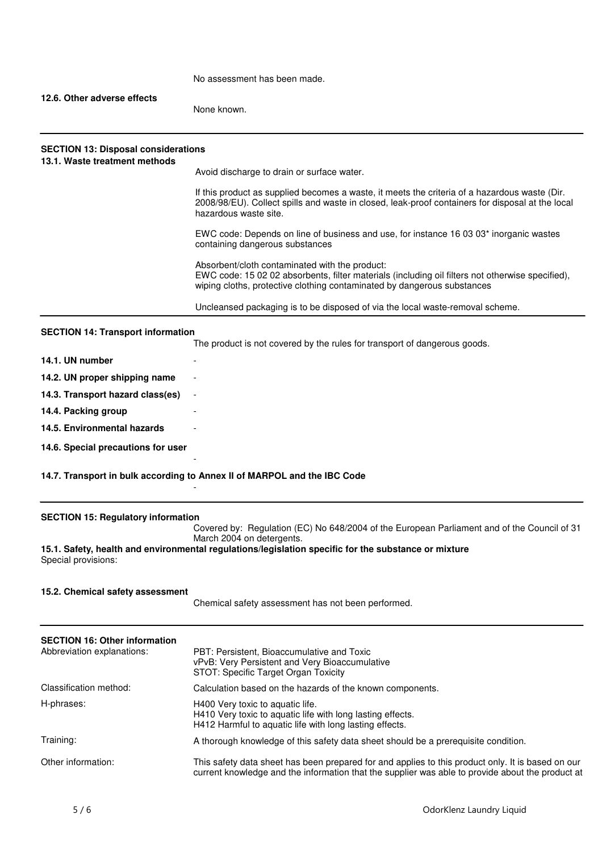No assessment has been made.

### **12.6. Other adverse effects**

None known.

| 13.1. Waste treatment methods | Avoid discharge to drain or surface water.                                                                                                                                                                                    |
|-------------------------------|-------------------------------------------------------------------------------------------------------------------------------------------------------------------------------------------------------------------------------|
|                               | If this product as supplied becomes a waste, it meets the criteria of a hazardous waste (Dir.<br>2008/98/EU). Collect spills and waste in closed, leak-proof containers for disposal at the local<br>hazardous waste site.    |
|                               | EWC code: Depends on line of business and use, for instance 16 03 03 <sup>*</sup> inorganic wastes<br>containing dangerous substances                                                                                         |
|                               | Absorbent/cloth contaminated with the product:<br>EWC code: 15 02 02 absorbents, filter materials (including oil filters not otherwise specified),<br>wiping cloths, protective clothing contaminated by dangerous substances |
|                               | Uncleansed packaging is to be disposed of via the local waste-removal scheme.                                                                                                                                                 |

| 14.1. UN number                    | -                        |
|------------------------------------|--------------------------|
| 14.2. UN proper shipping name      | $\overline{\phantom{0}}$ |
| 14.3. Transport hazard class(es)   | $\sim$                   |
| 14.4. Packing group                | -                        |
| 14.5. Environmental hazards        | $\overline{\phantom{0}}$ |
| 14.6. Special precautions for user | -                        |

**14.7. Transport in bulk according to Annex II of MARPOL and the IBC Code**

-

### **SECTION 15: Regulatory information**

Covered by: Regulation (EC) No 648/2004 of the European Parliament and of the Council of 31 March 2004 on detergents.

**15.1. Safety, health and environmental regulations/legislation specific for the substance or mixture** Special provisions:

### **15.2. Chemical safety assessment**

Chemical safety assessment has not been performed.

| <b>SECTION 16: Other information</b><br>Abbreviation explanations: | PBT: Persistent, Bioaccumulative and Toxic<br>vPvB: Very Persistent and Very Bioaccumulative<br>STOT: Specific Target Organ Toxicity                                                                  |
|--------------------------------------------------------------------|-------------------------------------------------------------------------------------------------------------------------------------------------------------------------------------------------------|
| Classification method:                                             | Calculation based on the hazards of the known components.                                                                                                                                             |
| H-phrases:                                                         | H400 Very toxic to aquatic life.<br>H410 Very toxic to aquatic life with long lasting effects.<br>H412 Harmful to aquatic life with long lasting effects.                                             |
| Training:                                                          | A thorough knowledge of this safety data sheet should be a prerequisite condition.                                                                                                                    |
| Other information:                                                 | This safety data sheet has been prepared for and applies to this product only. It is based on our<br>current knowledge and the information that the supplier was able to provide about the product at |